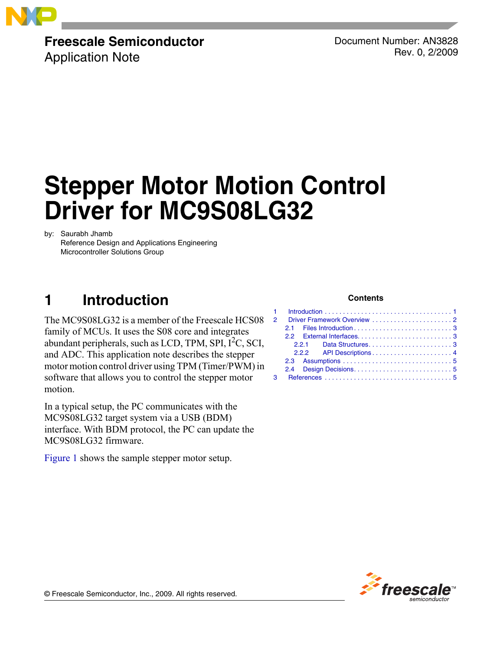

## **Freescale Semiconductor**

Application Note

Document Number: AN3828 Rev. 0, 2/2009

# **Stepper Motor Motion Control Driver for MC9S08LG32**

by: Saurabh Jhamb

Reference Design and Applications Engineering Microcontroller Solutions Group

## <span id="page-0-0"></span>**1 Introduction**

The MC9S08LG32 is a member of the Freescale HCS08 family of MCUs. It uses the S08 core and integrates abundant peripherals, such as LCD, TPM, SPI,  $I<sup>2</sup>C$ , SCI, and ADC. This application note describes the stepper motor motion control driver using TPM (Timer/PWM) in software that allows you to control the stepper motor motion.

In a typical setup, the PC communicates with the MC9S08LG32 target system via a USB (BDM) interface. With BDM protocol, the PC can update the MC9S08LG32 firmware.

[Figure 1](#page-1-1) shows the sample stepper motor setup.

#### **Contents**

|  |  | 2 Driver Framework Overview 2 |  |  |  |  |  |  |  |  |  |  |
|--|--|-------------------------------|--|--|--|--|--|--|--|--|--|--|
|  |  |                               |  |  |  |  |  |  |  |  |  |  |
|  |  |                               |  |  |  |  |  |  |  |  |  |  |
|  |  |                               |  |  |  |  |  |  |  |  |  |  |
|  |  |                               |  |  |  |  |  |  |  |  |  |  |
|  |  |                               |  |  |  |  |  |  |  |  |  |  |
|  |  |                               |  |  |  |  |  |  |  |  |  |  |
|  |  |                               |  |  |  |  |  |  |  |  |  |  |



© Freescale Semiconductor, Inc., 2009. All rights reserved.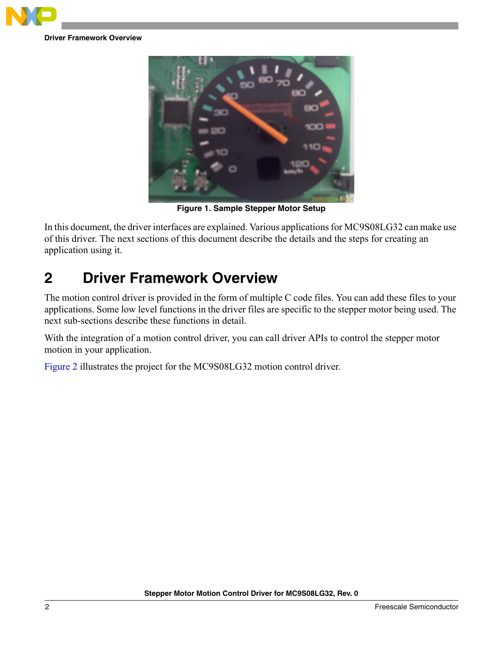

**Driver Framework Overview**



**Figure 1. Sample Stepper Motor Setup**

<span id="page-1-1"></span>In this document, the driver interfaces are explained. Various applications for MC9S08LG32 can make use of this driver. The next sections of this document describe the details and the steps for creating an application using it.

## <span id="page-1-0"></span>**2 Driver Framework Overview**

The motion control driver is provided in the form of multiple C code files. You can add these files to your applications. Some low level functions in the driver files are specific to the stepper motor being used. The next sub-sections describe these functions in detail.

With the integration of a motion control driver, you can call driver APIs to control the stepper motor motion in your application.

[Figure 2](#page-2-3) illustrates the project for the MC9S08LG32 motion control driver.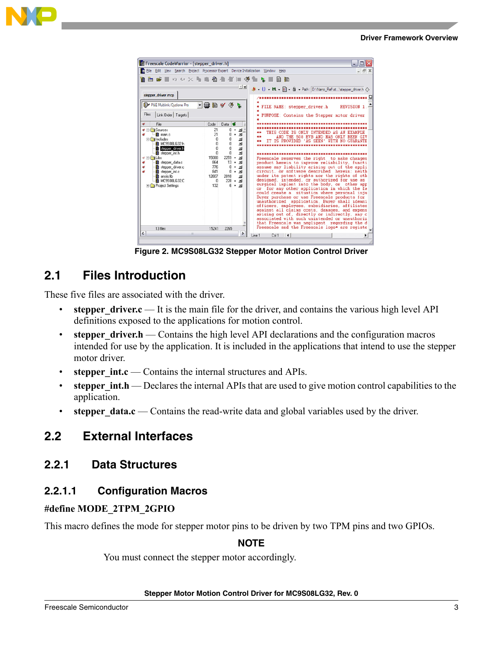



**Figure 2. MC9S08LG32 Stepper Motor Motion Control Driver**

## <span id="page-2-3"></span><span id="page-2-0"></span>**2.1 Files Introduction**

These five files are associated with the driver.

- **stepper driver.c** It is the main file for the driver, and contains the various high level API definitions exposed to the applications for motion control.
- **stepper driver.h** Contains the high level API declarations and the configuration macros intended for use by the application. It is included in the applications that intend to use the stepper motor driver.
- **stepper int.c** Contains the internal structures and APIs.
- **stepper int.h** Declares the internal APIs that are used to give motion control capabilities to the application.
- **stepper data.c** Contains the read-write data and global variables used by the driver.

## <span id="page-2-1"></span>**2.2 External Interfaces**

#### <span id="page-2-2"></span>**2.2.1 Data Structures**

#### **2.2.1.1 Configuration Macros**

#### **#define MODE\_2TPM\_2GPIO**

This macro defines the mode for stepper motor pins to be driven by two TPM pins and two GPIOs.

#### **NOTE**

You must connect the stepper motor accordingly.

#### **Stepper Motor Motion Control Driver for MC9S08LG32, Rev. 0**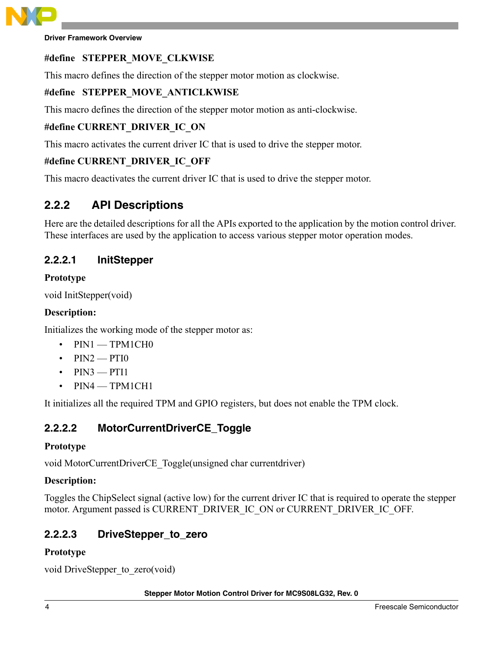

**Driver Framework Overview**

### **#define STEPPER\_MOVE\_CLKWISE**

This macro defines the direction of the stepper motor motion as clockwise.

#### **#define STEPPER\_MOVE\_ANTICLKWISE**

This macro defines the direction of the stepper motor motion as anti-clockwise.

### **#define CURRENT\_DRIVER\_IC\_ON**

This macro activates the current driver IC that is used to drive the stepper motor.

#### **#define CURRENT\_DRIVER\_IC\_OFF**

This macro deactivates the current driver IC that is used to drive the stepper motor.

## <span id="page-3-0"></span>**2.2.2 API Descriptions**

Here are the detailed descriptions for all the APIs exported to the application by the motion control driver. These interfaces are used by the application to access various stepper motor operation modes.

#### **2.2.2.1 InitStepper**

#### **Prototype**

void InitStepper(void)

#### **Description:**

Initializes the working mode of the stepper motor as:

- $PIN1$  TPM1CH0
- $PIN2 = PTI0$
- $PIN3 = PT11$
- PIN4 TPM1CH1

It initializes all the required TPM and GPIO registers, but does not enable the TPM clock.

#### **2.2.2.2 MotorCurrentDriverCE\_Toggle**

#### **Prototype**

void MotorCurrentDriverCE\_Toggle(unsigned char currentdriver)

#### **Description:**

Toggles the ChipSelect signal (active low) for the current driver IC that is required to operate the stepper motor. Argument passed is CURRENT\_DRIVER\_IC\_ON or CURRENT\_DRIVER\_IC\_OFF.

#### **2.2.2.3 DriveStepper\_to\_zero**

#### **Prototype**

void DriveStepper to zero(void)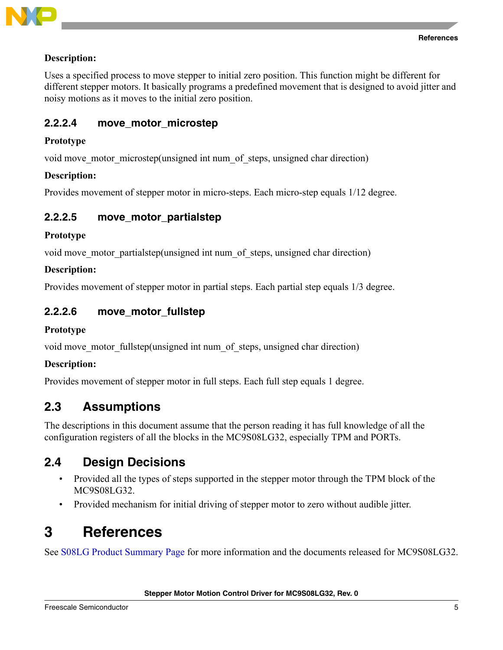

#### **Description:**

Uses a specified process to move stepper to initial zero position. This function might be different for different stepper motors. It basically programs a predefined movement that is designed to avoid jitter and noisy motions as it moves to the initial zero position.

#### **2.2.2.4 move\_motor\_microstep**

#### **Prototype**

void move motor microstep(unsigned int num of steps, unsigned char direction)

#### **Description:**

Provides movement of stepper motor in micro-steps. Each micro-step equals 1/12 degree.

#### **2.2.2.5 move\_motor\_partialstep**

#### **Prototype**

void move motor partialstep(unsigned int num of steps, unsigned char direction)

#### **Description:**

Provides movement of stepper motor in partial steps. Each partial step equals 1/3 degree.

#### **2.2.2.6 move\_motor\_fullstep**

#### **Prototype**

void move motor fullstep(unsigned int num of steps, unsigned char direction)

#### **Description:**

Provides movement of stepper motor in full steps. Each full step equals 1 degree.

### <span id="page-4-0"></span>**2.3 Assumptions**

The descriptions in this document assume that the person reading it has full knowledge of all the configuration registers of all the blocks in the MC9S08LG32, especially TPM and PORTs.

### <span id="page-4-1"></span>**2.4 Design Decisions**

- Provided all the types of steps supported in the stepper motor through the TPM block of the MC9S08LG32.
- Provided mechanism for initial driving of stepper motor to zero without audible jitter.

## <span id="page-4-2"></span>**3 References**

See [S08LG Product Summary Page](http://www.freescale.com/webapp/sps/site/prod_summary.jsp?code=S08LG&fsrch=1) for more information and the documents released for MC9S08LG32.

**Stepper Motor Motion Control Driver for MC9S08LG32, Rev. 0**